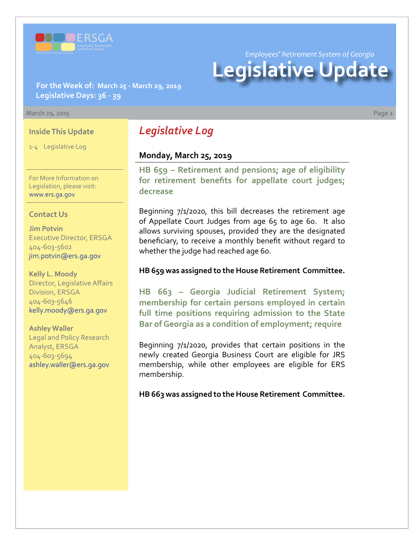

*Employees' Retirement System of Georgia*

# **Legislative Update**

**For the Week of: March 25 - March 29, 2019 Legislative Days: 36 - 39**

#### **March 29, 2019 Page 1**

#### **Inside This Update**

1-4 Legislative Log

For More Information on Legislation, please visit: [www.ers.ga.gov](http://www.ers.ga.gov/)

#### **Contact Us**

**Jim Potvin** Executive Director, ERSGA 404-603-5602 jim.potvin@ers.ga.gov

**Kelly L. Moody** Director, Legislative Affairs Division, ERSGA 404-603-5646 kelly.moody@ers.ga.gov

**Ashley Waller** Legal and Policy Research Analyst, ERSGA 404-603-5694 ashley.waller@ers.ga.gov

# *Legislative Log*

### **Monday, March 25, 2019**

**[HB 659 – Retirement and pensions; age of eligibility](http://www.legis.ga.gov/legislation/en-US/Display/20192020/HB/659)  for retirement benefits for appellate court judges; decrease**

Beginning 7/1/2020, this bill decreases the retirement age of Appellate Court Judges from age 65 to age 60. It also allows surviving spouses, provided they are the designated beneficiary, to receive a monthly benefit without regard to whether the judge had reached age 60.

#### **HB 659 was assigned to the House Retirement Committee.**

**HB 663 – Georgia Judicial Retirement System; [membership for certain persons employed in certain](http://www.legis.ga.gov/legislation/en-US/Display/20192020/HB/663)  full time positions requiring admission to the State Bar of Georgia as a condition of employment; require**

Beginning 7/1/2020, provides that certain positions in the newly created Georgia Business Court are eligible for JRS membership, while other employees are eligible for ERS membership.

**HB 663 was assigned to the House Retirement Committee.**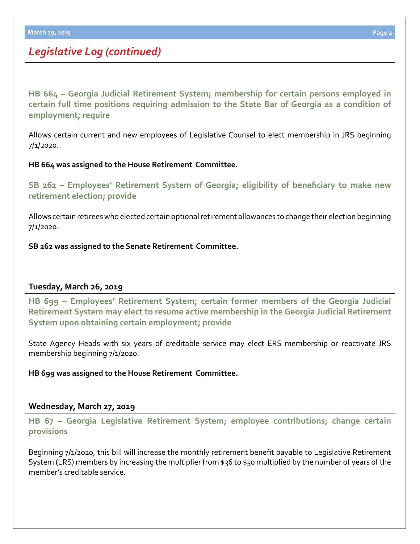# *Legislative Log (continued)*

**HB 664 – Georgia Judicial Retirement System; membership for certain persons employed in [certain full time positions requiring admission to the State Bar of Georgia as a condition of](http://www.legis.ga.gov/legislation/en-US/Display/20192020/HB/664)  employment; require**

Allows certain current and new employees of Legislative Counsel to elect membership in JRS beginning 7/1/2020.

#### **HB 664 was assigned to the House Retirement Committee.**

**[SB 262 – Employees' Retirement System of Georgia; eligibility of beneficiary to make new](http://www.legis.ga.gov/legislation/en-US/Display/20192020/SB/262)  retirement election; provide**

Allows certain retirees who elected certain optional retirement allowances to change their election beginning 7/1/2020.

**SB 262 was assigned to the Senate Retirement Committee.**

### **Tuesday, March 26, 2019**

**HB 699 – Employees' Retirement System; certain former members of the Georgia Judicial [Retirement System may elect to resume active membership in the Georgia Judicial Retirement](http://www.legis.ga.gov/legislation/en-US/Display/20192020/HB/699)  System upon obtaining certain employment; provide**

State Agency Heads with six years of creditable service may elect ERS membership or reactivate JRS membership beginning 7/1/2020.

**HB 699 was assigned to the House Retirement Committee.**

### **Wednesday, March 27, 2019**

**[HB 67 – Georgia Legislative Retirement System; employee contributions; change certain](http://www.legis.ga.gov/legislation/en-US/Display/20192020/HB/67)  provisions**

Beginning 7/1/2020, this bill will increase the monthly retirement benefit payable to Legislative Retirement System (LRS) members by increasing the multiplier from \$36 to \$50 multiplied by the number of years of the member's creditable service.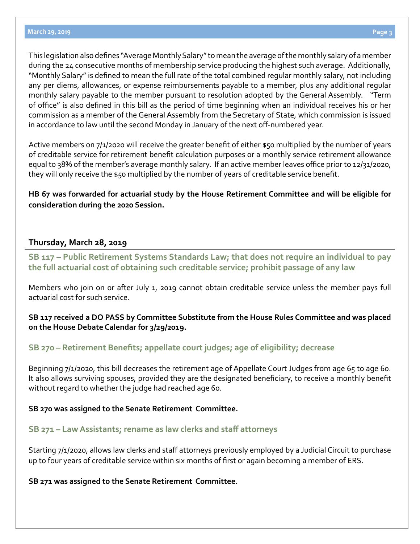This legislation also defines "Average Monthly Salary" to mean the average of the monthly salary of a member during the 24 consecutive months of membership service producing the highest such average. Additionally, "Monthly Salary" is defined to mean the full rate of the total combined regular monthly salary, not including any per diems, allowances, or expense reimbursements payable to a member, plus any additional regular monthly salary payable to the member pursuant to resolution adopted by the General Assembly. "Term of office" is also defined in this bill as the period of time beginning when an individual receives his or her commission as a member of the General Assembly from the Secretary of State, which commission is issued in accordance to law until the second Monday in January of the next off-numbered year.

Active members on 7/1/2020 will receive the greater benefit of either \$50 multiplied by the number of years of creditable service for retirement benefit calculation purposes or a monthly service retirement allowance equal to 38% of the member's average monthly salary. If an active member leaves office prior to 12/31/2020, they will only receive the \$50 multiplied by the number of years of creditable service benefit.

**HB 67 was forwarded for actuarial study by the House Retirement Committee and will be eligible for consideration during the 2020 Session.**

### **Thursday, March 28, 2019**

**[SB 117 – Public Retirement Systems Standards Law; that does not require an individual to pay](http://www.legis.ga.gov/legislation/en-US/Display/20192020/SB/117)  the full actuarial cost of obtaining such creditable service; prohibit passage of any law**

Members who join on or after July 1, 2019 cannot obtain creditable service unless the member pays full actuarial cost for such service.

**SB 117 received a DO PASS by Committee Substitute from the House Rules Committee and was placed on the House Debate Calendar for 3/29/2019.**

## **[SB 270 – Retirement Benefits; appellate court judges; age of eligibility; decrease](http://www.legis.ga.gov/legislation/en-US/Display/20192020/SB/270)**

Beginning 7/1/2020, this bill decreases the retirement age of Appellate Court Judges from age 65 to age 60. It also allows surviving spouses, provided they are the designated beneficiary, to receive a monthly benefit without regard to whether the judge had reached age 60.

#### **SB 270 was assigned to the Senate Retirement Committee.**

### **[SB 271 – Law Assistants; rename as law clerks and staff attorneys](http://www.legis.ga.gov/legislation/en-US/Display/20192020/SB/271)**

Starting 7/1/2020, allows law clerks and staff attorneys previously employed by a Judicial Circuit to purchase up to four years of creditable service within six months of first or again becoming a member of ERS.

**SB 271 was assigned to the Senate Retirement Committee.**